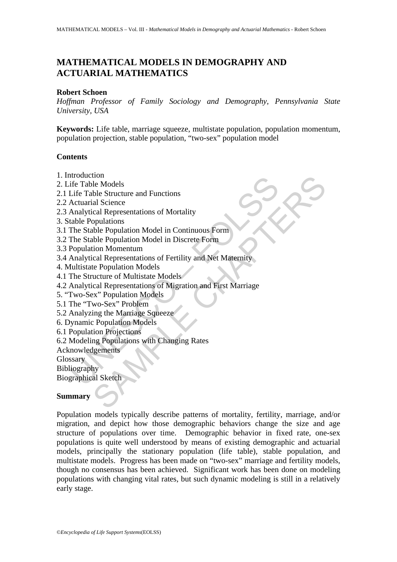# **MATHEMATICAL MODELS IN DEMOGRAPHY AND ACTUARIAL MATHEMATICS**

## **Robert Schoen**

*Hoffman Professor of Family Sociology and Demography, Pennsylvania State University, USA* 

**Keywords:** Life table, marriage squeeze, multistate population, population momentum, population projection, stable population, "two-sex" population model

# **Contents**

- 1. Introduction
- 2. Life Table Models
- 2.1 Life Table Structure and Functions
- 2.2 Actuarial Science
- 2.3 Analytical Representations of Mortality
- 3. Stable Populations
- 3.1 The Stable Population Model in Continuous Form
- 3.2 The Stable Population Model in Discrete Form
- 3.3 Population Momentum
- 3.4 Analytical Representations of Fertility and Net Maternity
- 4. Multistate Population Models
- 4.1 The Structure of Multistate Models
- molution<br>
ife Table Models<br>
Life Table Structure and Functions<br>
Actuarial Science<br>
Analytical Representations of Mortality<br>
The Stable Population Model in Continuous Form<br>
The Stable Population Model in Discrete Form<br>
Popu the<br>
le Models<br>
ble Models<br>
ble Structure and Functions<br>
ial Science<br>
computations of Mortality<br>
opulations<br>
ble Population Model in Discrete Form<br>
tion Momentum<br>
cical Representations of Fertility and Net Maternity<br>
te Po 4.2 Analytical Representations of Migration and First Marriage
- 5. "Two-Sex" Population Models
- 5.1 The "Two-Sex" Problem
- 5.2 Analyzing the Marriage Squeeze
- 6. Dynamic Population Models
- 6.1 Population Projections
- 6.2 Modeling Populations with Changing Rates
- Acknowledgements
- **Glossary**
- Bibliography

Biographical Sketch

# **Summary**

Population models typically describe patterns of mortality, fertility, marriage, and/or migration, and depict how those demographic behaviors change the size and age structure of populations over time. Demographic behavior in fixed rate, one-sex populations is quite well understood by means of existing demographic and actuarial models, principally the stationary population (life table), stable population, and multistate models. Progress has been made on "two-sex" marriage and fertility models, though no consensus has been achieved. Significant work has been done on modeling populations with changing vital rates, but such dynamic modeling is still in a relatively early stage.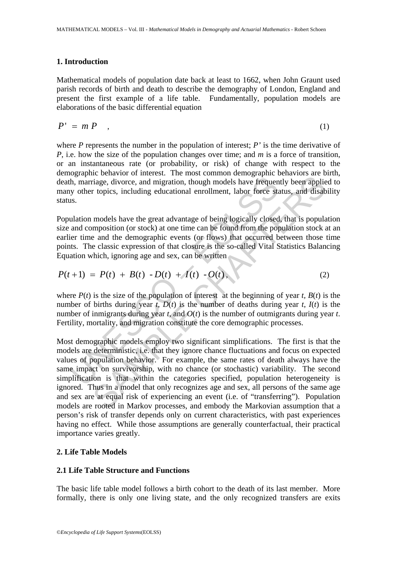# **1. Introduction**

Mathematical models of population date back at least to 1662, when John Graunt used parish records of birth and death to describe the demography of London, England and present the first example of a life table. Fundamentally, population models are elaborations of the basic differential equation

$$
P' = m P \t\t(1)
$$

where *P* represents the number in the population of interest; *P'* is the time derivative of *P*, i.e. how the size of the population changes over time; and *m* is a force of transition, or an instantaneous rate (or probability, or risk) of change with respect to the demographic behavior of interest. The most common demographic behaviors are birth, death, marriage, divorce, and migration, though models have frequently been applied to many other topics, including educational enrollment, labor force status, and disability status.

Population models have the great advantage of being logically closed, that is population size and composition (or stock) at one time can be found from the population stock at an earlier time and the demographic events (or flows) that occurred between those time points. The classic expression of that closure is the so-called Vital Statistics Balancing Equation which, ignoring age and sex, can be written

$$
P(t+1) = P(t) + B(t) - D(t) + I(t) - O(t), \qquad (2)
$$

where  $P(t)$  is the size of the population of interest at the beginning of year *t*,  $B(t)$  is the number of births during year *t*,  $D(t)$  is the number of deaths during year *t*,  $I(t)$  is the number of inmigrants during year *t*, and *O*(*t*) is the number of outmigrants during year *t*. Fertility, mortality, and migration constitute the core demographic processes.

**Example 10**<br> **Example 10**<br> **Example 10**<br> **Example 10**<br> **Example 10**<br> **Example 10**<br> **Example 10**<br> **Example 10**<br> **EXAMPLE 10**<br> **EXAMPLE 10**<br> **EXAMPLE 10**<br> **EXAMPLE 10**<br> **EXAMPLE 10**<br> **EXAMPLE 10**<br> **EXAMPLE 10**<br> **EXAMPLE 10** Let contain of interest. The most common computed by a state of the constrained and migration, though models have frequently been applies replies, including educational enrollment, labor force status, and disab models hav Most demographic models employ two significant simplifications. The first is that the models are deterministic, i.e. that they ignore chance fluctuations and focus on expected values of population behavior. For example, the same rates of death always have the same impact on survivorship, with no chance (or stochastic) variability. The second simplification is that within the categories specified, population heterogeneity is ignored. Thus in a model that only recognizes age and sex, all persons of the same age and sex are at equal risk of experiencing an event (i.e. of "transferring"). Population models are rooted in Markov processes, and embody the Markovian assumption that a person's risk of transfer depends only on current characteristics, with past experiences having no effect. While those assumptions are generally counterfactual, their practical importance varies greatly.

# **2. Life Table Models**

## **2.1 Life Table Structure and Functions**

The basic life table model follows a birth cohort to the death of its last member. More formally, there is only one living state, and the only recognized transfers are exits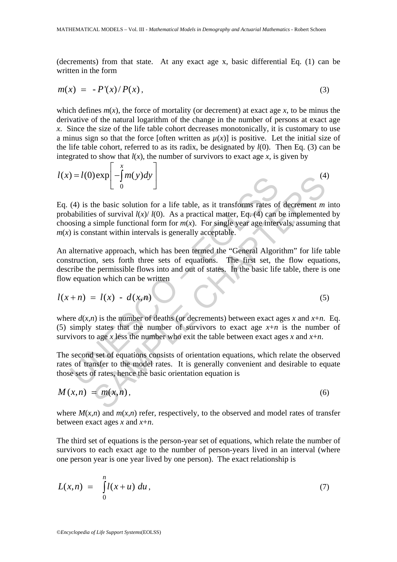(decrements) from that state. At any exact age x, basic differential Eq. (1) can be written in the form

$$
m(x) = -P'(x)/P(x), \qquad (3)
$$

which defines  $m(x)$ , the force of mortality (or decrement) at exact age x, to be minus the derivative of the natural logarithm of the change in the number of persons at exact age x. Since the size of the life table cohort decreases monotonically, it is customary to use a minus sign so that the force [often written as  $\mu(x)$ ] is positive. Let the initial size of the life table cohort, referred to as its radix, be designated by *l*(0). Then Eq. (3) can be integrated to show that  $l(x)$ , the number of survivors to exact age x, is given by

$$
l(x) = l(0) \exp\left[-\int_{0}^{x} m(y) dy\right]
$$
 (4)

 $U = I(0) \exp\left[-\frac{1}{2}m(y)dy\right]$ <br>
(4) is the basic solution for a life table, as it transforms rates of abilities of survival  $I(x)/I(0)$ . As a practical matter, Eq. (4) can be solutions of survival  $I(x)/I(0)$ . As a practical mat Jexplerence of a life table, as it transforms rates of decrement *m*<br>so of survival  $l(x)/l(0)$ . As a practical matter, Eq. (4) can be implemented<br>simple functional form for  $m(x)$ . For single year age intervals, assuming<br>st Eq. (4) is the basic solution for a life table, as it transforms rates of decrement *m* into probabilities of survival  $l(x)/l(0)$ . As a practical matter, Eq. (4) can be implemented by choosing a simple functional form for  $m(x)$ . For single year age intervals, assuming that  $m(x)$  is constant within intervals is generally acceptable.

An alternative approach, which has been termed the "General Algorithm" for life table construction, sets forth three sets of equations. The first set, the flow equations, describe the permissible flows into and out of states. In the basic life table, there is one flow equation which can be written

$$
l(x+n) = l(x) - d(x,n) \tag{5}
$$

where  $d(x,n)$  is the number of deaths (or decrements) between exact ages x and  $x+n$ . Eq. (5) simply states that the number of survivors to exact age  $x+n$  is the number of survivors to age *x* less the number who exit the table between exact ages *x* and  $x+n$ .

The second set of equations consists of orientation equations, which relate the observed rates of transfer to the model rates. It is generally convenient and desirable to equate those sets of rates, hence the basic orientation equation is

$$
M(x,n) = m(x,n), \qquad (6)
$$

where  $M(x,n)$  and  $m(x,n)$  refer, respectively, to the observed and model rates of transfer between exact ages *x* and *x*+*n*.

The third set of equations is the person-year set of equations, which relate the number of survivors to each exact age to the number of person-years lived in an interval (where one person year is one year lived by one person). The exact relationship is

$$
L(x,n) = \int_{0}^{n} l(x+u) \, du \,, \tag{7}
$$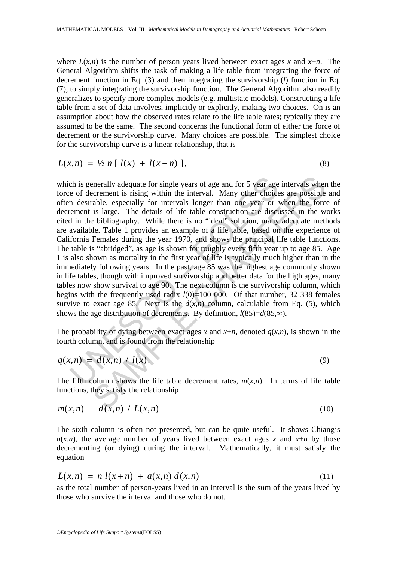where  $L(x,n)$  is the number of person years lived between exact ages x and  $x+n$ . The General Algorithm shifts the task of making a life table from integrating the force of decrement function in Eq. (3) and then integrating the survivorship (*l*) function in Eq. (7), to simply integrating the survivorship function. The General Algorithm also readily generalizes to specify more complex models (e.g. multistate models). Constructing a life table from a set of data involves, implicitly or explicitly, making two choices. On is an assumption about how the observed rates relate to the life table rates; typically they are assumed to be the same. The second concerns the functional form of either the force of decrement or the survivorship curve. Many choices are possible. The simplest choice for the survivorship curve is a linear relationship, that is

$$
L(x,n) = \frac{1}{2} n [l(x) + l(x+n)], \qquad (8)
$$

ch is generally adequate for single years of age and for 5 year age<br>e of decrement is rising within the interval. Many other choice<br>n desirable, especially for intervals longer than one year or v<br>ement is large. The detai enerally adequate for single years of age and for 5 year age intervals where<br>crement is rising within the interval. Many other choices are possible<br>able, especially for intervals longer than one year or when the force<br>is which is generally adequate for single years of age and for 5 year age intervals when the force of decrement is rising within the interval. Many other choices are possible and often desirable, especially for intervals longer than one year or when the force of decrement is large. The details of life table construction are discussed in the works cited in the bibliography. While there is no "ideal" solution, many adequate methods are available. Table 1 provides an example of a life table, based on the experience of California Females during the year 1970, and shows the principal life table functions. The table is "abridged", as age is shown for roughly every fifth year up to age 85. Age 1 is also shown as mortality in the first year of life is typically much higher than in the immediately following years. In the past, age 85 was the highest age commonly shown in life tables, though with improved survivorship and better data for the high ages, many tables now show survival to age 90. The next column is the survivorship column, which begins with the frequently used radix *l*(0)=100 000. Of that number, 32 338 females survive to exact age 85. Next is the  $d(x,n)$  column, calculable from Eq. (5), which shows the age distribution of decrements. By definition,  $l(85)=d(85,\infty)$ .

The probability of dying between exact ages *x* and  $x+n$ , denoted  $q(x,n)$ , is shown in the fourth column, and is found from the relationship

$$
q(x,n) = d(x,n) / l(x).
$$
 (9)

The fifth column shows the life table decrement rates,  $m(x,n)$ . In terms of life table functions, they satisfy the relationship

$$
m(x,n) = d(x,n) / L(x,n).
$$
 (10)

The sixth column is often not presented, but can be quite useful. It shows Chiang's  $a(x,n)$ , the average number of years lived between exact ages *x* and *x*+*n* by those decrementing (or dying) during the interval. Mathematically, it must satisfy the equation

$$
L(x,n) = n l(x+n) + a(x,n) d(x,n)
$$
\n(11)

as the total number of person-years lived in an interval is the sum of the years lived by those who survive the interval and those who do not.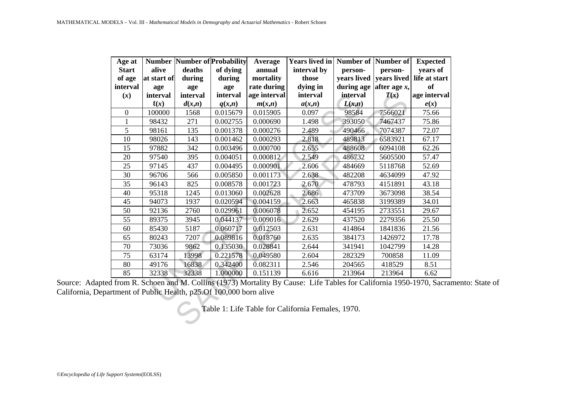| Age at<br><b>Start</b><br>of age<br>interval<br>(x)                                                                                                                                         | alive<br>at start of<br>age<br>interval | deaths<br>during<br>age<br>interval | <b>Number   Number of Probability</b><br>of dying<br>during<br>age<br>interval | Average<br>annual<br>mortality<br>rate during<br>age interval | <b>Years lived in</b><br>interval by<br>those<br>dying in<br>interval | Number of Number of<br>person-<br>years lived<br>during age<br>interval | person-<br>years lived<br>after age $x$ ,<br>T(x) | <b>Expected</b><br>years of<br>life at start<br><b>of</b><br>age interval |
|---------------------------------------------------------------------------------------------------------------------------------------------------------------------------------------------|-----------------------------------------|-------------------------------------|--------------------------------------------------------------------------------|---------------------------------------------------------------|-----------------------------------------------------------------------|-------------------------------------------------------------------------|---------------------------------------------------|---------------------------------------------------------------------------|
|                                                                                                                                                                                             | $\ell(x)$                               | d(x,n)                              | q(x,n)                                                                         | m(x,n)                                                        | a(x,n)                                                                | L(x,n)                                                                  |                                                   | e(x)                                                                      |
| $\boldsymbol{0}$                                                                                                                                                                            | 100000                                  | 1568                                | 0.015679                                                                       | 0.015905                                                      | 0.097                                                                 | 98584                                                                   | 7566021                                           | 75.66                                                                     |
| $\mathbf{1}$                                                                                                                                                                                | 98432                                   | 271                                 | 0.002755                                                                       | 0.000690                                                      | 1.498                                                                 | 393050                                                                  | 7467437                                           | 75.86                                                                     |
| 5                                                                                                                                                                                           | 98161                                   | 135                                 | 0.001378                                                                       | 0.000276                                                      | 2.489                                                                 | 490466                                                                  | 7074387                                           | 72.07                                                                     |
| 10                                                                                                                                                                                          | 98026                                   | 143                                 | 0.001462                                                                       | 0.000293                                                      | 2.818                                                                 | 489813                                                                  | 6583921                                           | 67.17                                                                     |
| 15                                                                                                                                                                                          | 97882                                   | 342                                 | 0.003496                                                                       | 0.000700                                                      | 2.655                                                                 | 488608                                                                  | 6094108                                           | 62.26                                                                     |
| 20                                                                                                                                                                                          | 97540                                   | 395                                 | 0.004051                                                                       | 0.000812                                                      | 2.549                                                                 | 486732                                                                  | 5605500                                           | 57.47                                                                     |
| 25                                                                                                                                                                                          | 97145                                   | 437                                 | 0.004495                                                                       | 0.000901                                                      | 2.606                                                                 | 484669                                                                  | 5118768                                           | 52.69                                                                     |
| 30                                                                                                                                                                                          | 96706                                   | 566                                 | 0.005850                                                                       | 0.001173                                                      | 2.638                                                                 | 482208                                                                  | 4634099                                           | 47.92                                                                     |
| 35                                                                                                                                                                                          | 96143                                   | 825                                 | 0.008578                                                                       | 0.001723                                                      | 2.670                                                                 | 478793                                                                  | 4151891                                           | 43.18                                                                     |
| 40                                                                                                                                                                                          | 95318                                   | 1245                                | 0.013060                                                                       | 0.002628                                                      | 2.686                                                                 | 473709                                                                  | 3673098                                           | 38.54                                                                     |
| 45                                                                                                                                                                                          | 94073                                   | 1937                                | 0.020594                                                                       | 0.004159                                                      | 2.663                                                                 | 465838                                                                  | 3199389                                           | 34.01                                                                     |
| 50                                                                                                                                                                                          | 92136                                   | 2760                                | 0.029961                                                                       | 0.006078                                                      | 2.652                                                                 | 454195                                                                  | 2733551                                           | 29.67                                                                     |
| 55                                                                                                                                                                                          | 89375                                   | 3945                                | 0.044137                                                                       | 0.009016                                                      | 2.629                                                                 | 437520                                                                  | 2279356                                           | 25.50                                                                     |
| 60                                                                                                                                                                                          | 85430                                   | 5187                                | 0.060717                                                                       | 0.012503                                                      | 2.631                                                                 | 414864                                                                  | 1841836                                           | 21.56                                                                     |
| 65                                                                                                                                                                                          | 80243                                   | 7207                                | 0.089816                                                                       | 0.018760                                                      | 2.635                                                                 | 384173                                                                  | 1426972                                           | 17.78                                                                     |
| 70                                                                                                                                                                                          | 73036                                   | 9862                                | 0.135030                                                                       | 0.028841                                                      | 2.644                                                                 | 341941                                                                  | 1042799                                           | 14.28                                                                     |
| 75                                                                                                                                                                                          | 63174                                   | 13998                               | 0.221578                                                                       | 0.049580                                                      | 2.604                                                                 | 282329                                                                  | 700858                                            | 11.09                                                                     |
| 80                                                                                                                                                                                          | 49176                                   | 16838                               | 0.342400                                                                       | 0.082311                                                      | 2.546                                                                 | 204565                                                                  | 418529                                            | 8.51                                                                      |
| 85                                                                                                                                                                                          | 32338                                   | 32338                               | 1.000000                                                                       | 0.151139                                                      | 6.616                                                                 | 213964                                                                  | 213964                                            | 6.62                                                                      |
| Source: Adapted from R. Schoen and M. Collins (1973) Mortality By Cause: Life Tables for California 1950-1970, Sacran<br>California, Department of Public Health, p25.Of 100,000 born alive |                                         |                                     |                                                                                |                                                               | Table 1: Life Table for California Females, 1970.                     |                                                                         |                                                   |                                                                           |

85 132338 32338 1.00000 0.151139 6.616 213964 213964 6.62<br>Source: Adapted from R. Schoen and M. Collins (1973) Mortality By Cause: Life Tables for California 1950-1970, Sacramento: State of California, Department of Public Health, p25.Of 100,000 born alive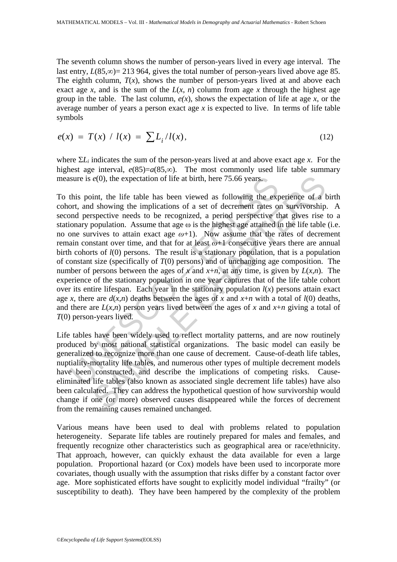The seventh column shows the number of person-years lived in every age interval. The last entry,  $L(85, \infty) = 213\,964$ , gives the total number of person-years lived above age 85. The eighth column,  $T(x)$ , shows the number of person-years lived at and above each exact age *x*, and is the sum of the  $L(x, n)$  column from age *x* through the highest age group in the table. The last column,  $e(x)$ , shows the expectation of life at age x, or the average number of years a person exact age *x* is expected to live. In terms of life table symbols

$$
e(x) = T(x) / l(x) = \sum L_i / l(x), \qquad (12)
$$

where  $\Sigma L_i$  indicates the sum of the person-years lived at and above exact age *x*. For the highest age interval,  $e(85)=a(85,\infty)$ . The most commonly used life table summary measure is *e*(0), the expectation of life at birth, here 75.66 years.

sure is  $e(0)$ , the expectation of life at birth, here 75.66 years.<br>this point, the life table has been viewed as following the export, and showing the implications of a set of decrement rates oo<br>not perspective needs to  $e(0)$ , the expectation of life at birth, here 75.66 years.<br>
int, the life table has been viewed as following the experience of a 1 showing the implications of a set of decrement rates on survivorship spective needs to be To this point, the life table has been viewed as following the experience of a birth cohort, and showing the implications of a set of decrement rates on survivorship. A second perspective needs to be recognized, a period perspective that gives rise to a stationary population. Assume that age  $\omega$  is the highest age attained in the life table (i.e. no one survives to attain exact age  $\omega+1$ ). Now assume that the rates of decrement remain constant over time, and that for at least *ω*+1 consecutive years there are annual birth cohorts of *l*(0) persons. The result is a stationary population, that is a population of constant size (specifically of *T*(0) persons) and of unchanging age composition. The number of persons between the ages of *x* and  $x+n$ , at any time, is given by  $L(x,n)$ . The experience of the stationary population in one year captures that of the life table cohort over its entire lifespan. Each year in the stationary population  $l(x)$  persons attain exact age *x*, there are  $d(x,n)$  deaths between the ages of *x* and  $x+n$  with a total of  $l(0)$  deaths, and there are  $L(x,n)$  person years lived between the ages of x and  $x+n$  giving a total of *T*(0) person-years lived.

Life tables have been widely used to reflect mortality patterns, and are now routinely produced by most national statistical organizations. The basic model can easily be generalized to recognize more than one cause of decrement. Cause-of-death life tables, nuptiality-mortality life tables, and numerous other types of multiple decrement models have been constructed, and describe the implications of competing risks. Causeeliminated life tables (also known as associated single decrement life tables) have also been calculated. They can address the hypothetical question of how survivorship would change if one (or more) observed causes disappeared while the forces of decrement from the remaining causes remained unchanged.

Various means have been used to deal with problems related to population heterogeneity. Separate life tables are routinely prepared for males and females, and frequently recognize other characteristics such as geographical area or race/ethnicity. That approach, however, can quickly exhaust the data available for even a large population. Proportional hazard (or Cox) models have been used to incorporate more covariates, though usually with the assumption that risks differ by a constant factor over age. More sophisticated efforts have sought to explicitly model individual "frailty" (or susceptibility to death). They have been hampered by the complexity of the problem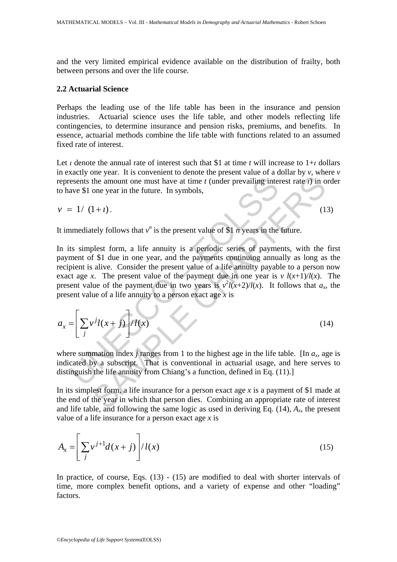and the very limited empirical evidence available on the distribution of frailty, both between persons and over the life course.

## **2.2 Actuarial Science**

Perhaps the leading use of the life table has been in the insurance and pension industries. Actuarial science uses the life table, and other models reflecting life contingencies, to determine insurance and pension risks, premiums, and benefits. In essence, actuarial methods combine the life table with functions related to an assumed fixed rate of interest.

Let *ι* denote the annual rate of interest such that \$1 at time *t* will increase to 1+*ι* dollars in exactly one year. It is convenient to denote the present value of a dollar by *v*, where *v* represents the amount one must have at time *t* (under prevailing interest rate *ι*) in order to have \$1 one year in the future. In symbols,

$$
v = 1/(1+i). \tag{13}
$$

It immediately follows that  $v^n$  is the present value of \$1 *n* years in the future.

esents the amount one must have at time t (under prevailing interave \$1 one year in the future. In symbols,<br>
= 1/ (1+t).<br>
amediately follows that  $v^n$  is the present value of \$1 n years in the<br>
ts simplest form, a life an the amount one must have at time t (under prevailing interest rate t) in o<br>
the amount one must have at time t (under prevailing interest rate t) in o<br>
one year in the future. In symbols,<br>
1+t).<br>
(1<br>
tely follows that  $v^n$ In its simplest form, a life annuity is a periodic series of payments, with the first payment of \$1 due in one year, and the payments continuing annually as long as the recipient is alive. Consider the present value of a life annuity payable to a person now exact age *x*. The present value of the payment due in one year is *v*  $l(x+1)/l(x)$ . The present value of the payment due in two years is  $v^2 l(x+2)/l(x)$ . It follows that  $a_x$ , the present value of a life annuity to a person exact age *x* is

$$
a_x = \left[\sum_j v^j l(x+j)\right]/l(x) \tag{14}
$$

where summation index *j* ranges from 1 to the highest age in the life table. [In  $a_x$ , age is indicated by a subscript. That is conventional in actuarial usage, and here serves to distinguish the life annuity from Chiang's a function, defined in Eq. (11).]

In its simplest form, a life insurance for a person exact age *x* is a payment of \$1 made at the end of the year in which that person dies. Combining an appropriate rate of interest and life table, and following the same logic as used in deriving Eq.  $(14)$ ,  $A_x$ , the present value of a life insurance for a person exact age *x* is

$$
A_x = \left[\sum_j v^{j+1} d(x+j)\right] / l(x) \tag{15}
$$

In practice, of course, Eqs. (13) - (15) are modified to deal with shorter intervals of time, more complex benefit options, and a variety of expense and other "loading" factors.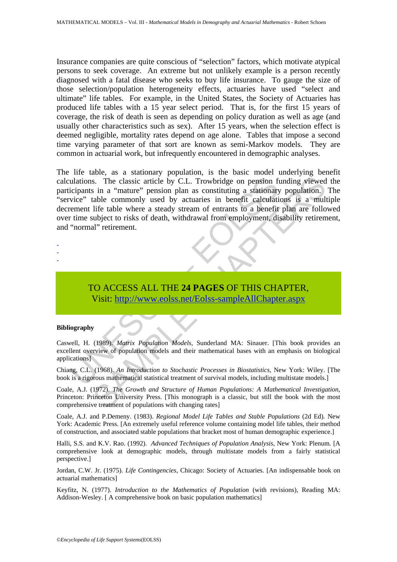Insurance companies are quite conscious of "selection" factors, which motivate atypical persons to seek coverage. An extreme but not unlikely example is a person recently diagnosed with a fatal disease who seeks to buy life insurance. To gauge the size of those selection/population heterogeneity effects, actuaries have used "select and ultimate" life tables. For example, in the United States, the Society of Actuaries has produced life tables with a 15 year select period. That is, for the first 15 years of coverage, the risk of death is seen as depending on policy duration as well as age (and usually other characteristics such as sex). After 15 years, when the selection effect is deemed negligible, mortality rates depend on age alone. Tables that impose a second time varying parameter of that sort are known as semi-Markov models. They are common in actuarial work, but infrequently encountered in demographic analyses.

ulations. The classic article by C.L. Trowbridge on pension ficipants in a "mature" pension plan as constituting a stationary<br>vice" table commonly used by actuaries in benefit calculation<br>terment life table where a steady S. The classic article by C.L. Trowbridge on pension funding viewed<br>
in a "mature" pension plan as constituting a stationary population.<br>
table commonly used by actuaries in benefit calculations is a multi<br>
life table wher The life table, as a stationary population, is the basic model underlying benefit calculations. The classic article by C.L. Trowbridge on pension funding viewed the participants in a "mature" pension plan as constituting a stationary population. The "service" table commonly used by actuaries in benefit calculations is a multiple decrement life table where a steady stream of entrants to a benefit plan are followed over time subject to risks of death, withdrawal from employment, disability retirement, and "normal" retirement.

- -
- -
- -

TO ACCESS ALL THE **24 PAGES** OF THIS CHAPTER, Visit: http://www.eolss.net/Eolss-sampleAllChapter.aspx

#### **Bibliography**

Caswell, H. (1989). *Matrix Population Models*, Sunderland MA: Sinauer. [This book provides an excellent overview of population models and their mathematical bases with an emphasis on biological applications]

Chiang, C.L. (1968). *An Introduction to Stochastic Processes in Biostatistics*, New York: Wiley. [The book is a rigorous mathematical statistical treatment of survival models, including multistate models.]

Coale, A.J. (1972). *The Growth and Structure of Human Populations: A Mathematical Investigation*, Princeton: Princeton University Press. [This monograph is a classic, but still the book with the most comprehensive treatment of populations with changing rates]

Coale, A.J. and P.Demeny. (1983). *Regional Model Life Tables and Stable Populations* (2d Ed). New York: Academic Press. [An extremely useful reference volume containing model life tables, their method of construction, and associated stable populations that bracket most of human demographic experience.]

Halli, S.S. and K.V. Rao. (1992). *Advanced Techniques of Population Analysis*, New York: Plenum. [A comprehensive look at demographic models, through multistate models from a fairly statistical perspective.]

Jordan, C.W. Jr. (1975). *Life Contingencies*, Chicago: Society of Actuaries. [An indispensable book on actuarial mathematics]

Keyfitz, N. (1977). *Introduction to the Mathematics of Population* (with revisions), Reading MA: Addison-Wesley. [ A comprehensive book on basic population mathematics]